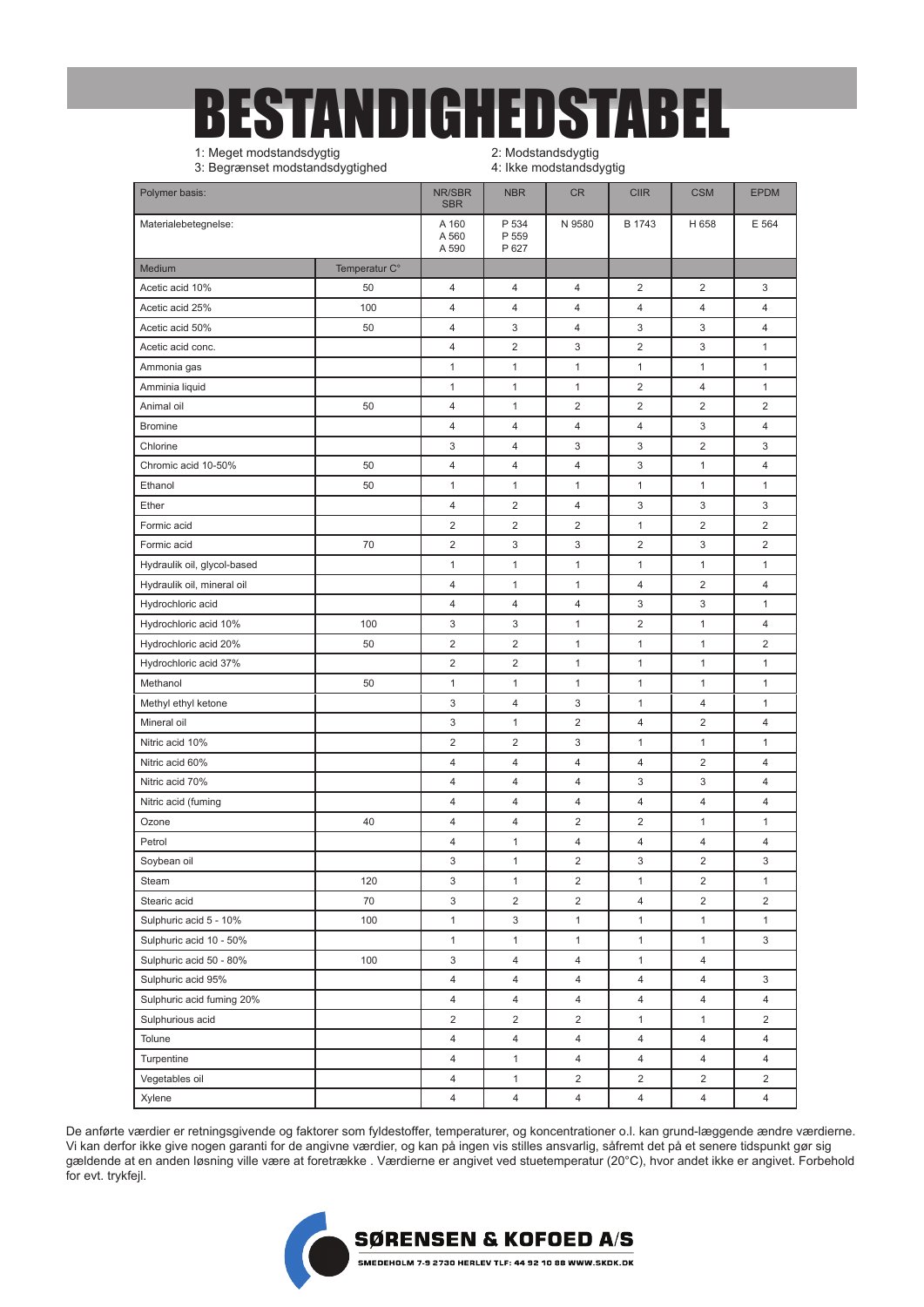## BESTANDIGHEDSTABEL

1: Meget modstandsdygtig 3: Begrænset modstandsdygtighed 2: Modstandsdygtig 4: Ikke modstandsdygtig

|                             |                         |                         |                         | ---, -- -               |                         |                         |                         |
|-----------------------------|-------------------------|-------------------------|-------------------------|-------------------------|-------------------------|-------------------------|-------------------------|
| Polymer basis:              | NR/SBR<br><b>SBR</b>    | <b>NBR</b>              | <b>CR</b>               | <b>CIIR</b>             | <b>CSM</b>              | <b>EPDM</b><br>E 564    |                         |
| Materialebetegnelse:        | A 160<br>A 560<br>A 590 | P 534<br>P 559<br>P 627 | N 9580                  | B 1743                  | H 658                   |                         |                         |
| Medium                      | Temperatur C°           |                         |                         |                         |                         |                         |                         |
| Acetic acid 10%             | 50                      | 4                       | 4                       | 4                       | $\overline{\mathbf{c}}$ | 2                       | 3                       |
| Acetic acid 25%             | 100                     | 4                       | 4                       | 4                       | 4                       | 4                       | $\overline{4}$          |
| Acetic acid 50%             | 50                      | 4                       | 3                       | 4                       | 3                       | 3                       | 4                       |
| Acetic acid conc.           |                         | 4                       | $\overline{\mathbf{c}}$ | 3                       | 2                       | 3                       | 1                       |
| Ammonia gas                 |                         | $\mathbf{1}$            | $\mathbf{1}$            | 1                       | 1                       | $\mathbf{1}$            | 1                       |
| Amminia liquid              |                         | $\mathbf{1}$            | $\mathbf{1}$            | $\mathbf{1}$            | $\overline{2}$          | 4                       | $\mathbf{1}$            |
| Animal oil                  | 50                      | 4                       | $\mathbf{1}$            | 2                       | $\overline{2}$          | $\overline{c}$          | $\overline{2}$          |
| <b>Bromine</b>              |                         | 4                       | 4                       | 4                       | 4                       | 3                       | $\overline{4}$          |
| Chlorine                    |                         | 3                       | 4                       | 3                       | 3                       | 2                       | 3                       |
| Chromic acid 10-50%         | 50                      | 4                       | 4                       | 4                       | 3                       | $\mathbf{1}$            | 4                       |
| Ethanol                     | 50                      | 1                       | 1                       | 1                       | 1                       | 1                       | 1                       |
| Ether                       |                         | 4                       | $\overline{\mathbf{c}}$ | 4                       | 3                       | 3                       | 3                       |
| Formic acid                 |                         | $\overline{\mathbf{c}}$ | $\overline{\mathbf{c}}$ | $\overline{2}$          | 1                       | $\overline{2}$          | $\overline{2}$          |
| Formic acid                 | 70                      | $\overline{\mathbf{c}}$ | 3                       | 3                       | 2                       | 3                       | $\overline{2}$          |
| Hydraulik oil, glycol-based |                         | $\mathbf{1}$            | $\mathbf{1}$            | 1                       | 1                       | 1                       | 1                       |
| Hydraulik oil, mineral oil  |                         | 4                       | 1                       | 1                       | 4                       | $\overline{\mathbf{c}}$ | 4                       |
| Hydrochloric acid           |                         | 4                       | 4                       | 4                       | 3                       | 3                       | 1                       |
| Hydrochloric acid 10%       | 100                     | 3                       | 3                       | 1                       | 2                       | 1                       | 4                       |
| Hydrochloric acid 20%       | 50                      | 2                       | $\overline{\mathbf{c}}$ | 1                       | 1                       | 1                       | $\overline{2}$          |
| Hydrochloric acid 37%       |                         | $\overline{\mathbf{c}}$ | $\overline{\mathbf{c}}$ | 1                       | 1                       | 1                       | 1                       |
| Methanol                    | 50                      | $\mathbf{1}$            | $\mathbf{1}$            | 1                       | 1                       | 1                       | 1                       |
| Methyl ethyl ketone         |                         | 3                       | 4                       | 3                       | 1                       | 4                       | 1                       |
| Mineral oil                 |                         | 3                       | $\mathbf{1}$            | $\overline{2}$          | 4                       | $\overline{2}$          | 4                       |
| Nitric acid 10%             |                         | $\overline{\mathbf{c}}$ | $\overline{\mathbf{c}}$ | 3                       | 1                       | $\mathbf{1}$            | 1                       |
| Nitric acid 60%             |                         | 4                       | 4                       | 4                       | 4                       | $\overline{\mathbf{c}}$ | 4                       |
| Nitric acid 70%             |                         | 4                       | 4                       | 4                       | 3                       | 3                       | 4                       |
| Nitric acid (fuming         |                         | 4                       | 4                       | 4                       | 4                       | 4                       | 4                       |
| Ozone                       | 40                      | 4                       | 4                       | 2                       | 2                       | 1                       | 1                       |
| Petrol                      |                         | 4                       | 1                       | 4                       | 4                       | 4                       | 4                       |
| Soybean oil                 |                         | 3                       | 1                       | 2                       | 3                       | $\overline{\mathbf{c}}$ | 3                       |
| Steam                       | 120                     | 3                       | $\mathbf{1}$            | $\overline{\mathbf{c}}$ | $\mathbf{1}$            | $\overline{\mathbf{c}}$ | $\mathbf{1}$            |
| Stearic acid                | 70                      | 3                       | $\overline{c}$          | $\overline{\mathbf{c}}$ | 4                       | 2                       | $\overline{\mathbf{c}}$ |
| Sulphuric acid 5 - 10%      | 100                     | $\mathbf{1}$            | 3                       | $\mathbf{1}$            | 1                       | $\mathbf{1}$            | $\mathbf{1}$            |
| Sulphuric acid 10 - 50%     |                         | $\mathbf{1}$            | 1                       | 1                       | $\mathbf{1}$            | $\mathbf{1}$            | 3                       |
| Sulphuric acid 50 - 80%     | 100                     | 3                       | $\overline{4}$          | 4                       | 1                       | 4                       |                         |
| Sulphuric acid 95%          |                         | 4                       | 4                       | 4                       | 4                       | 4                       | 3                       |
| Sulphuric acid fuming 20%   |                         | 4                       | $\overline{4}$          | 4                       | 4                       | 4                       | 4                       |
| Sulphurious acid            |                         | $\overline{c}$          | $\overline{2}$          | 2                       | 1                       | 1                       | 2                       |
| Tolune                      |                         | $\overline{\mathbf{4}}$ | $\overline{4}$          | 4                       | 4                       | 4                       | 4                       |
| Turpentine                  |                         | 4                       | $\mathbf{1}$            | 4                       | 4                       | 4                       | 4                       |
| Vegetables oil              |                         | 4                       | 1                       | 2                       | $\overline{c}$          | 2                       | $\overline{c}$          |
| Xylene                      |                         | 4                       | 4                       | $\overline{4}$          | 4                       | 4                       | 4                       |
|                             |                         |                         |                         |                         |                         |                         |                         |

De anførte værdier er retningsgivende og faktorer som fyldestoffer, temperaturer, og koncentrationer o.l. kan grund-læggende ændre værdierne. Vi kan derfor ikke give nogen garanti for de angivne værdier, og kan på ingen vis stilles ansvarlig, såfremt det på et senere tidspunkt gør sig gældende at en anden løsning ville være at foretrække . Værdierne er angivet ved stuetemperatur (20°C), hvor andet ikke er angivet. Forbehold for evt. trykfejl.